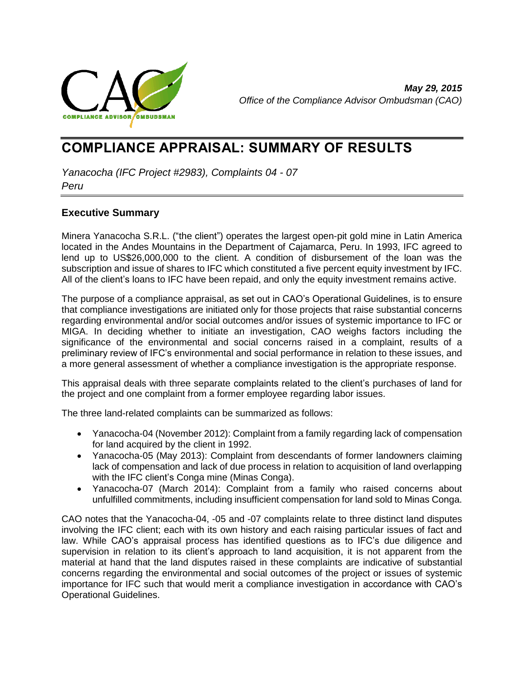

*May 29, 2015 Office of the Compliance Advisor Ombudsman (CAO)*

# **COMPLIANCE APPRAISAL: SUMMARY OF RESULTS**

*Yanacocha (IFC Project #2983), Complaints 04 - 07 Peru*

## **Executive Summary**

Minera Yanacocha S.R.L. ("the client") operates the largest open-pit gold mine in Latin America located in the Andes Mountains in the Department of Cajamarca, Peru. In 1993, IFC agreed to lend up to US\$26,000,000 to the client. A condition of disbursement of the loan was the subscription and issue of shares to IFC which constituted a five percent equity investment by IFC. All of the client's loans to IFC have been repaid, and only the equity investment remains active.

The purpose of a compliance appraisal, as set out in CAO's Operational Guidelines, is to ensure that compliance investigations are initiated only for those projects that raise substantial concerns regarding environmental and/or social outcomes and/or issues of systemic importance to IFC or MIGA. In deciding whether to initiate an investigation, CAO weighs factors including the significance of the environmental and social concerns raised in a complaint, results of a preliminary review of IFC's environmental and social performance in relation to these issues, and a more general assessment of whether a compliance investigation is the appropriate response.

This appraisal deals with three separate complaints related to the client's purchases of land for the project and one complaint from a former employee regarding labor issues.

The three land-related complaints can be summarized as follows:

- Yanacocha-04 (November 2012): Complaint from a family regarding lack of compensation for land acquired by the client in 1992.
- Yanacocha-05 (May 2013): Complaint from descendants of former landowners claiming lack of compensation and lack of due process in relation to acquisition of land overlapping with the IFC client's Conga mine (Minas Conga).
- Yanacocha-07 (March 2014): Complaint from a family who raised concerns about unfulfilled commitments, including insufficient compensation for land sold to Minas Conga.

CAO notes that the Yanacocha-04, -05 and -07 complaints relate to three distinct land disputes involving the IFC client; each with its own history and each raising particular issues of fact and law. While CAO's appraisal process has identified questions as to IFC's due diligence and supervision in relation to its client's approach to land acquisition, it is not apparent from the material at hand that the land disputes raised in these complaints are indicative of substantial concerns regarding the environmental and social outcomes of the project or issues of systemic importance for IFC such that would merit a compliance investigation in accordance with CAO's Operational Guidelines.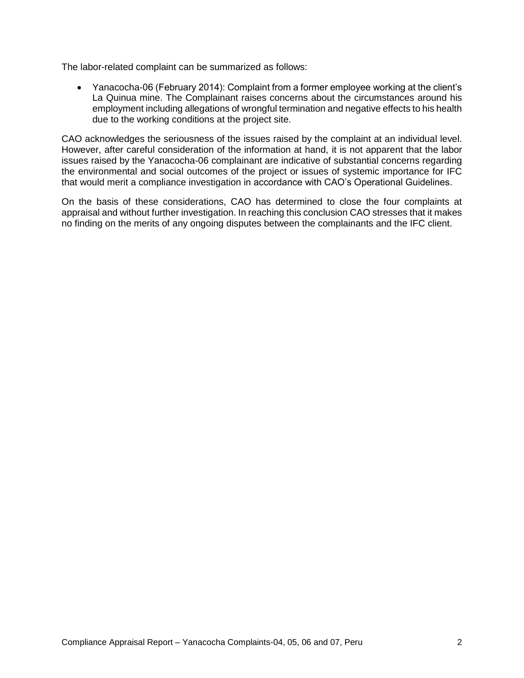The labor-related complaint can be summarized as follows:

 Yanacocha-06 (February 2014): Complaint from a former employee working at the client's La Quinua mine. The Complainant raises concerns about the circumstances around his employment including allegations of wrongful termination and negative effects to his health due to the working conditions at the project site.

CAO acknowledges the seriousness of the issues raised by the complaint at an individual level. However, after careful consideration of the information at hand, it is not apparent that the labor issues raised by the Yanacocha-06 complainant are indicative of substantial concerns regarding the environmental and social outcomes of the project or issues of systemic importance for IFC that would merit a compliance investigation in accordance with CAO's Operational Guidelines.

On the basis of these considerations, CAO has determined to close the four complaints at appraisal and without further investigation. In reaching this conclusion CAO stresses that it makes no finding on the merits of any ongoing disputes between the complainants and the IFC client.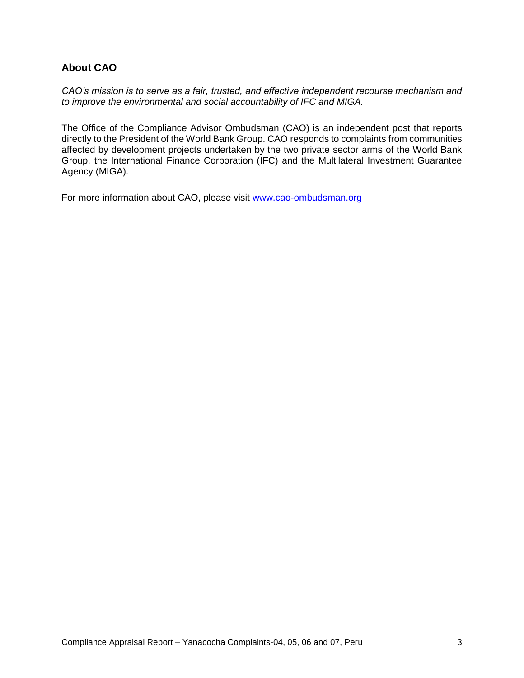## **About CAO**

*CAO's mission is to serve as a fair, trusted, and effective independent recourse mechanism and to improve the environmental and social accountability of IFC and MIGA.*

The Office of the Compliance Advisor Ombudsman (CAO) is an independent post that reports directly to the President of the World Bank Group. CAO responds to complaints from communities affected by development projects undertaken by the two private sector arms of the World Bank Group, the International Finance Corporation (IFC) and the Multilateral Investment Guarantee Agency (MIGA).

For more information about CAO, please visit [www.cao-ombudsman.org](http://www.cao-ombudsman.org/)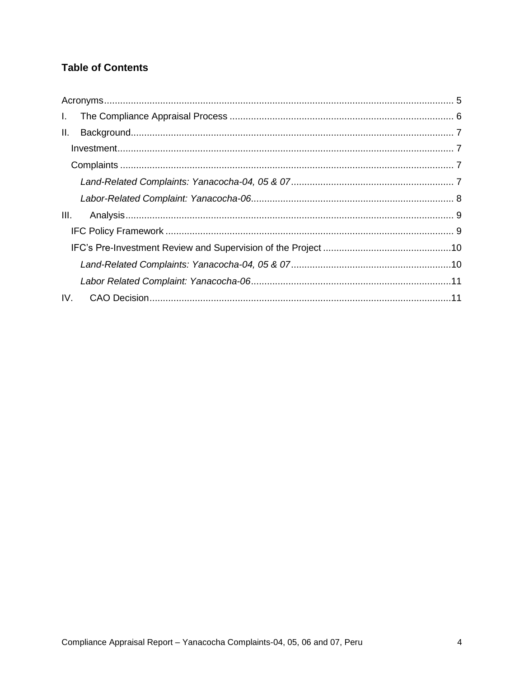## **Table of Contents**

| Τ.   |
|------|
| II.  |
|      |
|      |
|      |
|      |
| III. |
|      |
|      |
|      |
|      |
| IV.  |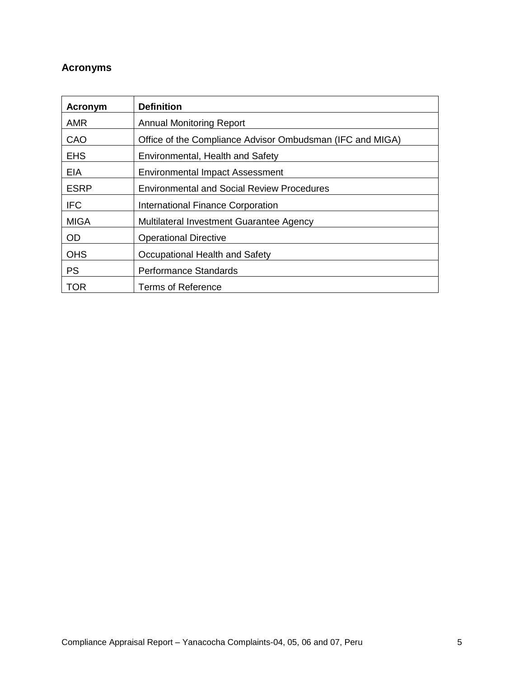## <span id="page-4-0"></span>**Acronyms**

| Acronym     | <b>Definition</b>                                         |
|-------------|-----------------------------------------------------------|
| <b>AMR</b>  | <b>Annual Monitoring Report</b>                           |
| CAO         | Office of the Compliance Advisor Ombudsman (IFC and MIGA) |
| <b>EHS</b>  | Environmental, Health and Safety                          |
| <b>EIA</b>  | <b>Environmental Impact Assessment</b>                    |
| <b>ESRP</b> | <b>Environmental and Social Review Procedures</b>         |
| <b>IFC</b>  | International Finance Corporation                         |
| <b>MIGA</b> | Multilateral Investment Guarantee Agency                  |
| <b>OD</b>   | <b>Operational Directive</b>                              |
| <b>OHS</b>  | Occupational Health and Safety                            |
| <b>PS</b>   | <b>Performance Standards</b>                              |
| <b>TOR</b>  | <b>Terms of Reference</b>                                 |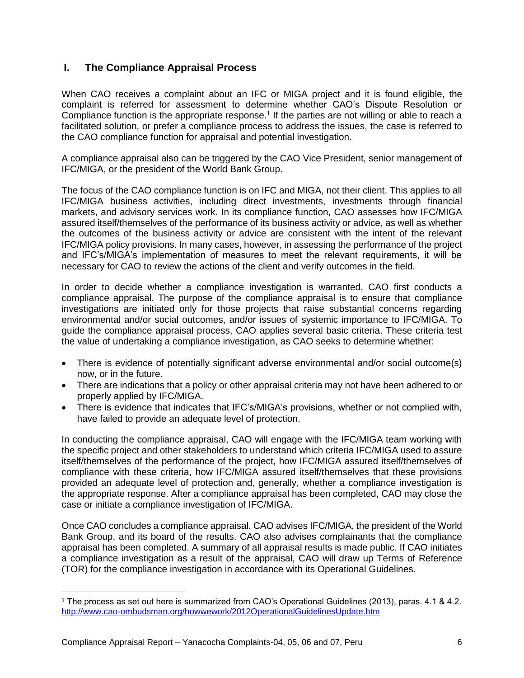## <span id="page-5-0"></span>**I. The Compliance Appraisal Process**

When CAO receives a complaint about an IFC or MIGA project and it is found eligible, the complaint is referred for assessment to determine whether CAO's Dispute Resolution or Compliance function is the appropriate response.<sup>1</sup> If the parties are not willing or able to reach a facilitated solution, or prefer a compliance process to address the issues, the case is referred to the CAO compliance function for appraisal and potential investigation.

A compliance appraisal also can be triggered by the CAO Vice President, senior management of IFC/MIGA, or the president of the World Bank Group.

The focus of the CAO compliance function is on IFC and MIGA, not their client. This applies to all IFC/MIGA business activities, including direct investments, investments through financial markets, and advisory services work. In its compliance function, CAO assesses how IFC/MIGA assured itself/themselves of the performance of its business activity or advice, as well as whether the outcomes of the business activity or advice are consistent with the intent of the relevant IFC/MIGA policy provisions. In many cases, however, in assessing the performance of the project and IFC's/MIGA's implementation of measures to meet the relevant requirements, it will be necessary for CAO to review the actions of the client and verify outcomes in the field.

In order to decide whether a compliance investigation is warranted, CAO first conducts a compliance appraisal. The purpose of the compliance appraisal is to ensure that compliance investigations are initiated only for those projects that raise substantial concerns regarding environmental and/or social outcomes, and/or issues of systemic importance to IFC/MIGA. To guide the compliance appraisal process, CAO applies several basic criteria. These criteria test the value of undertaking a compliance investigation, as CAO seeks to determine whether:

- There is evidence of potentially significant adverse environmental and/or social outcome(s) now, or in the future.
- There are indications that a policy or other appraisal criteria may not have been adhered to or properly applied by IFC/MIGA.
- There is evidence that indicates that IFC's/MIGA's provisions, whether or not complied with, have failed to provide an adequate level of protection.

In conducting the compliance appraisal, CAO will engage with the IFC/MIGA team working with the specific project and other stakeholders to understand which criteria IFC/MIGA used to assure itself/themselves of the performance of the project, how IFC/MIGA assured itself/themselves of compliance with these criteria, how IFC/MIGA assured itself/themselves that these provisions provided an adequate level of protection and, generally, whether a compliance investigation is the appropriate response. After a compliance appraisal has been completed, CAO may close the case or initiate a compliance investigation of IFC/MIGA.

Once CAO concludes a compliance appraisal, CAO advises IFC/MIGA, the president of the World Bank Group, and its board of the results. CAO also advises complainants that the compliance appraisal has been completed. A summary of all appraisal results is made public. If CAO initiates a compliance investigation as a result of the appraisal, CAO will draw up Terms of Reference (TOR) for the compliance investigation in accordance with its Operational Guidelines.

 $\overline{\phantom{a}}$ 

<sup>1</sup> The process as set out here is summarized from CAO's Operational Guidelines (2013), paras. 4.1 & 4.2. <http://www.cao-ombudsman.org/howwework/2012OperationalGuidelinesUpdate.htm>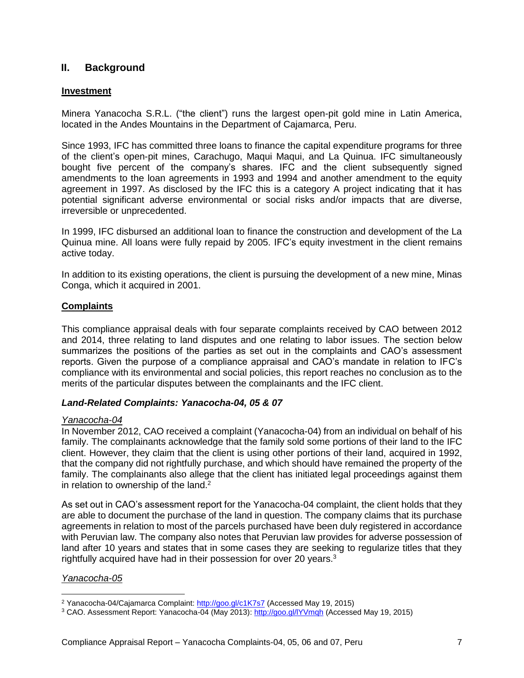## <span id="page-6-0"></span>**II. Background**

### <span id="page-6-1"></span>**Investment**

Minera Yanacocha S.R.L. ("the client") runs the largest open-pit gold mine in Latin America, located in the Andes Mountains in the Department of Cajamarca, Peru.

Since 1993, IFC has committed three loans to finance the capital expenditure programs for three of the client's open-pit mines, Carachugo, Maqui Maqui, and La Quinua. IFC simultaneously bought five percent of the company's shares. IFC and the client subsequently signed amendments to the loan agreements in 1993 and 1994 and another amendment to the equity agreement in 1997. As disclosed by the IFC this is a category A project indicating that it has potential significant adverse environmental or social risks and/or impacts that are diverse, irreversible or unprecedented.

In 1999, IFC disbursed an additional loan to finance the construction and development of the La Quinua mine. All loans were fully repaid by 2005. IFC's equity investment in the client remains active today.

In addition to its existing operations, the client is pursuing the development of a new mine, Minas Conga, which it acquired in 2001.

#### <span id="page-6-2"></span>**Complaints**

This compliance appraisal deals with four separate complaints received by CAO between 2012 and 2014, three relating to land disputes and one relating to labor issues. The section below summarizes the positions of the parties as set out in the complaints and CAO's assessment reports. Given the purpose of a compliance appraisal and CAO's mandate in relation to IFC's compliance with its environmental and social policies, this report reaches no conclusion as to the merits of the particular disputes between the complainants and the IFC client.

#### <span id="page-6-3"></span>*Land-Related Complaints: Yanacocha-04, 05 & 07*

#### *Yanacocha-04*

In November 2012, CAO received a complaint (Yanacocha-04) from an individual on behalf of his family. The complainants acknowledge that the family sold some portions of their land to the IFC client. However, they claim that the client is using other portions of their land, acquired in 1992, that the company did not rightfully purchase, and which should have remained the property of the family. The complainants also allege that the client has initiated legal proceedings against them in relation to ownership of the land. $2$ 

As set out in CAO's assessment report for the Yanacocha-04 complaint, the client holds that they are able to document the purchase of the land in question. The company claims that its purchase agreements in relation to most of the parcels purchased have been duly registered in accordance with Peruvian law. The company also notes that Peruvian law provides for adverse possession of land after 10 years and states that in some cases they are seeking to regularize titles that they rightfully acquired have had in their possession for over 20 years.<sup>3</sup>

#### *Yanacocha-05*

l

<sup>&</sup>lt;sup>2</sup> Yanacocha-04/Cajamarca Complaint:<http://goo.gl/c1K7s7> (Accessed May 19, 2015)

<sup>&</sup>lt;sup>3</sup> CAO. Assessment Report: Yanacocha-04 (May 2013): <http://goo.gl/lYVmqh> (Accessed May 19, 2015)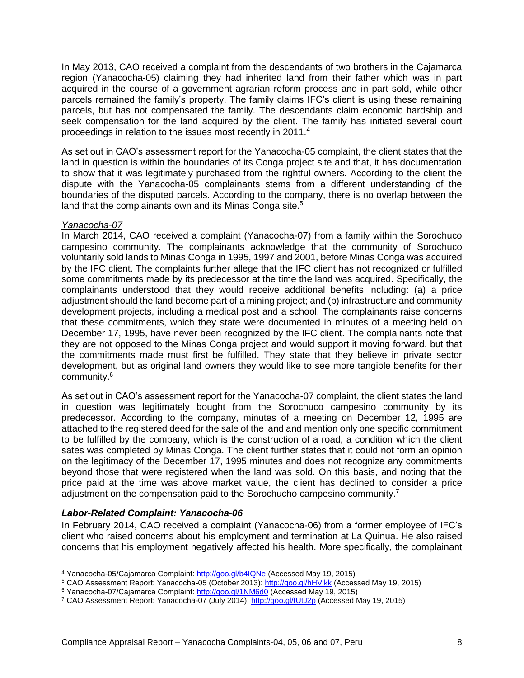In May 2013, CAO received a complaint from the descendants of two brothers in the Cajamarca region (Yanacocha-05) claiming they had inherited land from their father which was in part acquired in the course of a government agrarian reform process and in part sold, while other parcels remained the family's property. The family claims IFC's client is using these remaining parcels, but has not compensated the family. The descendants claim economic hardship and seek compensation for the land acquired by the client. The family has initiated several court proceedings in relation to the issues most recently in 2011.<sup>4</sup>

As set out in CAO's assessment report for the Yanacocha-05 complaint, the client states that the land in question is within the boundaries of its Conga project site and that, it has documentation to show that it was legitimately purchased from the rightful owners. According to the client the dispute with the Yanacocha-05 complainants stems from a different understanding of the boundaries of the disputed parcels. According to the company, there is no overlap between the land that the complainants own and its Minas Conga site.<sup>5</sup>

#### *Yanacocha-07*

In March 2014, CAO received a complaint (Yanacocha-07) from a family within the Sorochuco campesino community. The complainants acknowledge that the community of Sorochuco voluntarily sold lands to Minas Conga in 1995, 1997 and 2001, before Minas Conga was acquired by the IFC client. The complaints further allege that the IFC client has not recognized or fulfilled some commitments made by its predecessor at the time the land was acquired. Specifically, the complainants understood that they would receive additional benefits including: (a) a price adjustment should the land become part of a mining project; and (b) infrastructure and community development projects, including a medical post and a school. The complainants raise concerns that these commitments, which they state were documented in minutes of a meeting held on December 17, 1995, have never been recognized by the IFC client. The complainants note that they are not opposed to the Minas Conga project and would support it moving forward, but that the commitments made must first be fulfilled. They state that they believe in private sector development, but as original land owners they would like to see more tangible benefits for their community.<sup>6</sup>

As set out in CAO's assessment report for the Yanacocha-07 complaint, the client states the land in question was legitimately bought from the Sorochuco campesino community by its predecessor. According to the company, minutes of a meeting on December 12, 1995 are attached to the registered deed for the sale of the land and mention only one specific commitment to be fulfilled by the company, which is the construction of a road, a condition which the client sates was completed by Minas Conga. The client further states that it could not form an opinion on the legitimacy of the December 17, 1995 minutes and does not recognize any commitments beyond those that were registered when the land was sold. On this basis, and noting that the price paid at the time was above market value, the client has declined to consider a price adjustment on the compensation paid to the Sorochucho campesino community.<sup>7</sup>

#### <span id="page-7-0"></span>*Labor-Related Complaint: Yanacocha-06*

In February 2014, CAO received a complaint (Yanacocha-06) from a former employee of IFC's client who raised concerns about his employment and termination at La Quinua. He also raised concerns that his employment negatively affected his health. More specifically, the complainant

 $\overline{a}$ <sup>4</sup> Yanacocha-05/Cajamarca Complaint:<http://goo.gl/b4IQNe> (Accessed May 19, 2015)

<sup>5</sup> CAO Assessment Report: Yanacocha-05 (October 2013): <http://goo.gl/hHVlkk> (Accessed May 19, 2015)

<sup>6</sup> Yanacocha-07/Cajamarca Complaint:<http://goo.gl/1NM6d0> (Accessed May 19, 2015)

<sup>7</sup> CAO Assessment Report: Yanacocha-07 (July 2014): <http://goo.gl/fUtJ2p> (Accessed May 19, 2015)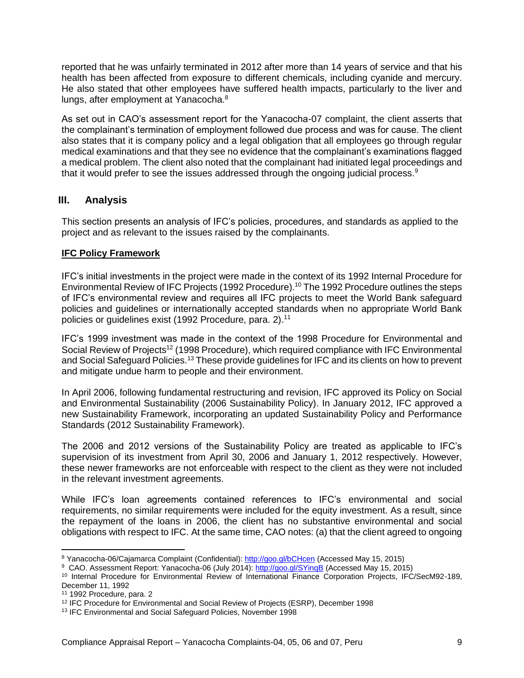reported that he was unfairly terminated in 2012 after more than 14 years of service and that his health has been affected from exposure to different chemicals, including cyanide and mercury. He also stated that other employees have suffered health impacts, particularly to the liver and lungs, after employment at Yanacocha.<sup>8</sup>

As set out in CAO's assessment report for the Yanacocha-07 complaint, the client asserts that the complainant's termination of employment followed due process and was for cause. The client also states that it is company policy and a legal obligation that all employees go through regular medical examinations and that they see no evidence that the complainant's examinations flagged a medical problem. The client also noted that the complainant had initiated legal proceedings and that it would prefer to see the issues addressed through the ongoing judicial process.<sup>9</sup>

## <span id="page-8-0"></span>**III. Analysis**

This section presents an analysis of IFC's policies, procedures, and standards as applied to the project and as relevant to the issues raised by the complainants.

#### <span id="page-8-1"></span>**IFC Policy Framework**

IFC's initial investments in the project were made in the context of its 1992 Internal Procedure for Environmental Review of IFC Projects (1992 Procedure). <sup>10</sup> The 1992 Procedure outlines the steps of IFC's environmental review and requires all IFC projects to meet the World Bank safeguard policies and guidelines or internationally accepted standards when no appropriate World Bank policies or guidelines exist (1992 Procedure, para. 2). 11

IFC's 1999 investment was made in the context of the 1998 Procedure for Environmental and Social Review of Projects<sup>12</sup> (1998 Procedure), which required compliance with IFC Environmental and Social Safeguard Policies.<sup>13</sup> These provide guidelines for IFC and its clients on how to prevent and mitigate undue harm to people and their environment.

In April 2006, following fundamental restructuring and revision, IFC approved its Policy on Social and Environmental Sustainability (2006 Sustainability Policy). In January 2012, IFC approved a new Sustainability Framework, incorporating an updated Sustainability Policy and Performance Standards (2012 Sustainability Framework).

The 2006 and 2012 versions of the Sustainability Policy are treated as applicable to IFC's supervision of its investment from April 30, 2006 and January 1, 2012 respectively. However, these newer frameworks are not enforceable with respect to the client as they were not included in the relevant investment agreements.

While IFC's loan agreements contained references to IFC's environmental and social requirements, no similar requirements were included for the equity investment. As a result, since the repayment of the loans in 2006, the client has no substantive environmental and social obligations with respect to IFC. At the same time, CAO notes: (a) that the client agreed to ongoing

 $\overline{a}$ 

<sup>8</sup> Yanacocha-06/Cajamarca Complaint (Confidential):<http://goo.gl/bCHcen> (Accessed May 15, 2015)

<sup>&</sup>lt;sup>9</sup> CAO. Assessment Report: Yanacocha-06 (July 2014): <http://goo.gl/SYinqB> (Accessed May 15, 2015)

<sup>10</sup> Internal Procedure for Environmental Review of International Finance Corporation Projects, IFC/SecM92-189, December 11, 1992

<sup>11</sup> 1992 Procedure, para. 2

<sup>12</sup> IFC Procedure for Environmental and Social Review of Projects (ESRP), December 1998

<sup>13</sup> IFC Environmental and Social Safeguard Policies, November 1998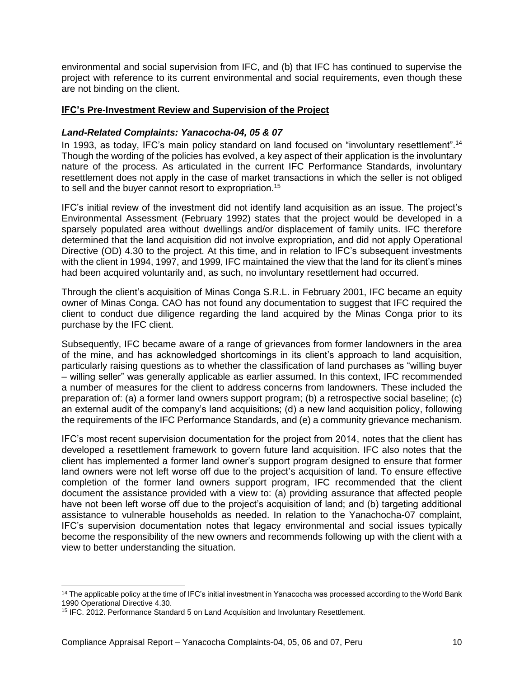environmental and social supervision from IFC, and (b) that IFC has continued to supervise the project with reference to its current environmental and social requirements, even though these are not binding on the client.

#### <span id="page-9-0"></span>**IFC's Pre-Investment Review and Supervision of the Project**

#### <span id="page-9-1"></span>*Land-Related Complaints: Yanacocha-04, 05 & 07*

In 1993, as today, IFC's main policy standard on land focused on "involuntary resettlement".<sup>14</sup> Though the wording of the policies has evolved, a key aspect of their application is the involuntary nature of the process. As articulated in the current IFC Performance Standards, involuntary resettlement does not apply in the case of market transactions in which the seller is not obliged to sell and the buyer cannot resort to expropriation.<sup>15</sup>

IFC's initial review of the investment did not identify land acquisition as an issue. The project's Environmental Assessment (February 1992) states that the project would be developed in a sparsely populated area without dwellings and/or displacement of family units. IFC therefore determined that the land acquisition did not involve expropriation, and did not apply Operational Directive (OD) 4.30 to the project. At this time, and in relation to IFC's subsequent investments with the client in 1994, 1997, and 1999, IFC maintained the view that the land for its client's mines had been acquired voluntarily and, as such, no involuntary resettlement had occurred.

Through the client's acquisition of Minas Conga S.R.L. in February 2001, IFC became an equity owner of Minas Conga. CAO has not found any documentation to suggest that IFC required the client to conduct due diligence regarding the land acquired by the Minas Conga prior to its purchase by the IFC client.

Subsequently, IFC became aware of a range of grievances from former landowners in the area of the mine, and has acknowledged shortcomings in its client's approach to land acquisition, particularly raising questions as to whether the classification of land purchases as "willing buyer – willing seller" was generally applicable as earlier assumed. In this context, IFC recommended a number of measures for the client to address concerns from landowners. These included the preparation of: (a) a former land owners support program; (b) a retrospective social baseline; (c) an external audit of the company's land acquisitions; (d) a new land acquisition policy, following the requirements of the IFC Performance Standards, and (e) a community grievance mechanism.

IFC's most recent supervision documentation for the project from 2014, notes that the client has developed a resettlement framework to govern future land acquisition. IFC also notes that the client has implemented a former land owner's support program designed to ensure that former land owners were not left worse off due to the project's acquisition of land. To ensure effective completion of the former land owners support program, IFC recommended that the client document the assistance provided with a view to: (a) providing assurance that affected people have not been left worse off due to the project's acquisition of land; and (b) targeting additional assistance to vulnerable households as needed. In relation to the Yanachocha-07 complaint, IFC's supervision documentation notes that legacy environmental and social issues typically become the responsibility of the new owners and recommends following up with the client with a view to better understanding the situation.

 $\overline{\phantom{a}}$ 

<sup>&</sup>lt;sup>14</sup> The applicable policy at the time of IFC's initial investment in Yanacocha was processed according to the World Bank 1990 Operational Directive 4.30.

<sup>&</sup>lt;sup>15</sup> IFC. 2012. Performance Standard 5 on Land Acquisition and Involuntary Resettlement.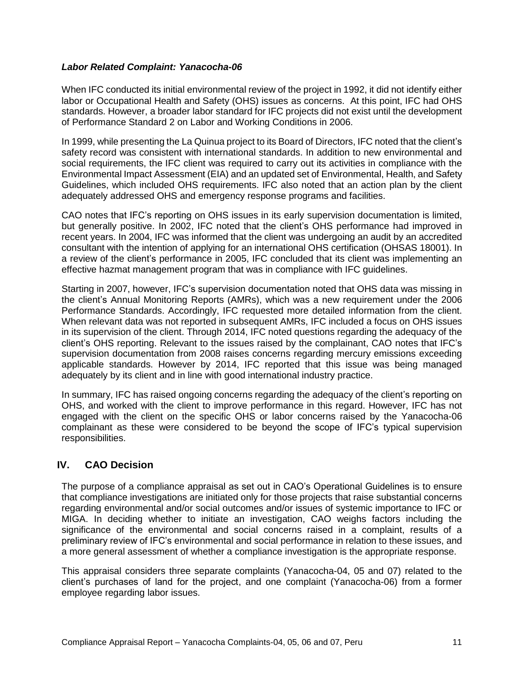#### <span id="page-10-0"></span>*Labor Related Complaint: Yanacocha-06*

When IFC conducted its initial environmental review of the project in 1992, it did not identify either labor or Occupational Health and Safety (OHS) issues as concerns. At this point, IFC had OHS standards. However, a broader labor standard for IFC projects did not exist until the development of Performance Standard 2 on Labor and Working Conditions in 2006.

In 1999, while presenting the La Quinua project to its Board of Directors, IFC noted that the client's safety record was consistent with international standards. In addition to new environmental and social requirements, the IFC client was required to carry out its activities in compliance with the Environmental Impact Assessment (EIA) and an updated set of Environmental, Health, and Safety Guidelines, which included OHS requirements. IFC also noted that an action plan by the client adequately addressed OHS and emergency response programs and facilities.

CAO notes that IFC's reporting on OHS issues in its early supervision documentation is limited, but generally positive. In 2002, IFC noted that the client's OHS performance had improved in recent years. In 2004, IFC was informed that the client was undergoing an audit by an accredited consultant with the intention of applying for an international OHS certification (OHSAS 18001). In a review of the client's performance in 2005, IFC concluded that its client was implementing an effective hazmat management program that was in compliance with IFC guidelines.

Starting in 2007, however, IFC's supervision documentation noted that OHS data was missing in the client's Annual Monitoring Reports (AMRs), which was a new requirement under the 2006 Performance Standards. Accordingly, IFC requested more detailed information from the client. When relevant data was not reported in subsequent AMRs, IFC included a focus on OHS issues in its supervision of the client. Through 2014, IFC noted questions regarding the adequacy of the client's OHS reporting. Relevant to the issues raised by the complainant, CAO notes that IFC's supervision documentation from 2008 raises concerns regarding mercury emissions exceeding applicable standards. However by 2014, IFC reported that this issue was being managed adequately by its client and in line with good international industry practice.

In summary, IFC has raised ongoing concerns regarding the adequacy of the client's reporting on OHS, and worked with the client to improve performance in this regard. However, IFC has not engaged with the client on the specific OHS or labor concerns raised by the Yanacocha-06 complainant as these were considered to be beyond the scope of IFC's typical supervision responsibilities.

## <span id="page-10-1"></span>**IV. CAO Decision**

The purpose of a compliance appraisal as set out in CAO's Operational Guidelines is to ensure that compliance investigations are initiated only for those projects that raise substantial concerns regarding environmental and/or social outcomes and/or issues of systemic importance to IFC or MIGA. In deciding whether to initiate an investigation, CAO weighs factors including the significance of the environmental and social concerns raised in a complaint, results of a preliminary review of IFC's environmental and social performance in relation to these issues, and a more general assessment of whether a compliance investigation is the appropriate response.

This appraisal considers three separate complaints (Yanacocha-04, 05 and 07) related to the client's purchases of land for the project, and one complaint (Yanacocha-06) from a former employee regarding labor issues.